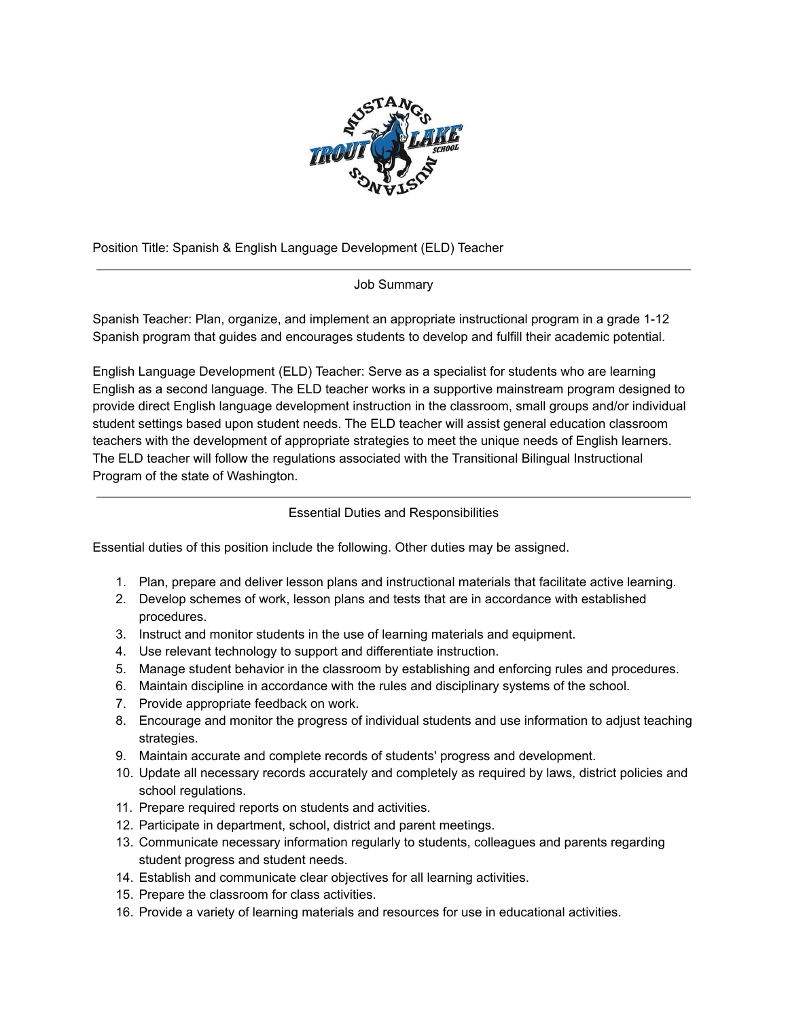

Position Title: Spanish & English Language Development (ELD) Teacher

## Job Summary

Spanish Teacher: Plan, organize, and implement an appropriate instructional program in a grade 1-12 Spanish program that guides and encourages students to develop and fulfill their academic potential.

English Language Development (ELD) Teacher: Serve as a specialist for students who are learning English as a second language. The ELD teacher works in a supportive mainstream program designed to provide direct English language development instruction in the classroom, small groups and/or individual student settings based upon student needs. The ELD teacher will assist general education classroom teachers with the development of appropriate strategies to meet the unique needs of English learners. The ELD teacher will follow the regulations associated with the Transitional Bilingual Instructional Program of the state of Washington.

## Essential Duties and Responsibilities

Essential duties of this position include the following. Other duties may be assigned.

- 1. Plan, prepare and deliver lesson plans and instructional materials that facilitate active learning.
- 2. Develop schemes of work, lesson plans and tests that are in accordance with established procedures.
- 3. Instruct and monitor students in the use of learning materials and equipment.
- 4. Use relevant technology to support and differentiate instruction.
- 5. Manage student behavior in the classroom by establishing and enforcing rules and procedures.
- 6. Maintain discipline in accordance with the rules and disciplinary systems of the school.
- 7. Provide appropriate feedback on work.
- 8. Encourage and monitor the progress of individual students and use information to adjust teaching strategies.
- 9. Maintain accurate and complete records of students' progress and development.
- 10. Update all necessary records accurately and completely as required by laws, district policies and school regulations.
- 11. Prepare required reports on students and activities.
- 12. Participate in department, school, district and parent meetings.
- 13. Communicate necessary information regularly to students, colleagues and parents regarding student progress and student needs.
- 14. Establish and communicate clear objectives for all learning activities.
- 15. Prepare the classroom for class activities.
- 16. Provide a variety of learning materials and resources for use in educational activities.